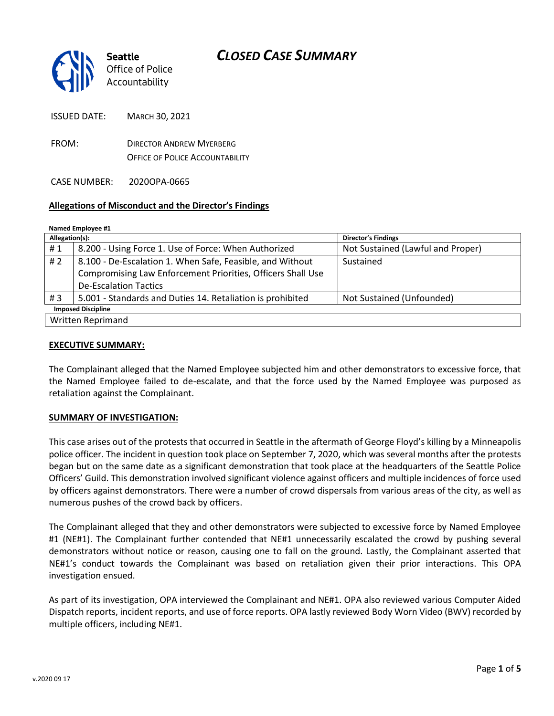

ISSUED DATE: MARCH 30, 2021

FROM: DIRECTOR ANDREW MYERBERG OFFICE OF POLICE ACCOUNTABILITY

CASE NUMBER: 2020OPA-0665

### **Allegations of Misconduct and the Director's Findings**

**Named Employee #1**

| Allegation(s):            |                                                             | <b>Director's Findings</b>        |
|---------------------------|-------------------------------------------------------------|-----------------------------------|
| #1                        | 8.200 - Using Force 1. Use of Force: When Authorized        | Not Sustained (Lawful and Proper) |
| #2                        | 8.100 - De-Escalation 1. When Safe, Feasible, and Without   | Sustained                         |
|                           | Compromising Law Enforcement Priorities, Officers Shall Use |                                   |
|                           | <b>De-Escalation Tactics</b>                                |                                   |
| #3                        | 5.001 - Standards and Duties 14. Retaliation is prohibited  | Not Sustained (Unfounded)         |
| <b>Imposed Discipline</b> |                                                             |                                   |
| Written Reprimand         |                                                             |                                   |

#### **EXECUTIVE SUMMARY:**

The Complainant alleged that the Named Employee subjected him and other demonstrators to excessive force, that the Named Employee failed to de-escalate, and that the force used by the Named Employee was purposed as retaliation against the Complainant.

#### **SUMMARY OF INVESTIGATION:**

This case arises out of the protests that occurred in Seattle in the aftermath of George Floyd's killing by a Minneapolis police officer. The incident in question took place on September 7, 2020, which was several months after the protests began but on the same date as a significant demonstration that took place at the headquarters of the Seattle Police Officers' Guild. This demonstration involved significant violence against officers and multiple incidences of force used by officers against demonstrators. There were a number of crowd dispersals from various areas of the city, as well as numerous pushes of the crowd back by officers.

The Complainant alleged that they and other demonstrators were subjected to excessive force by Named Employee #1 (NE#1). The Complainant further contended that NE#1 unnecessarily escalated the crowd by pushing several demonstrators without notice or reason, causing one to fall on the ground. Lastly, the Complainant asserted that NE#1's conduct towards the Complainant was based on retaliation given their prior interactions. This OPA investigation ensued.

As part of its investigation, OPA interviewed the Complainant and NE#1. OPA also reviewed various Computer Aided Dispatch reports, incident reports, and use of force reports. OPA lastly reviewed Body Worn Video (BWV) recorded by multiple officers, including NE#1.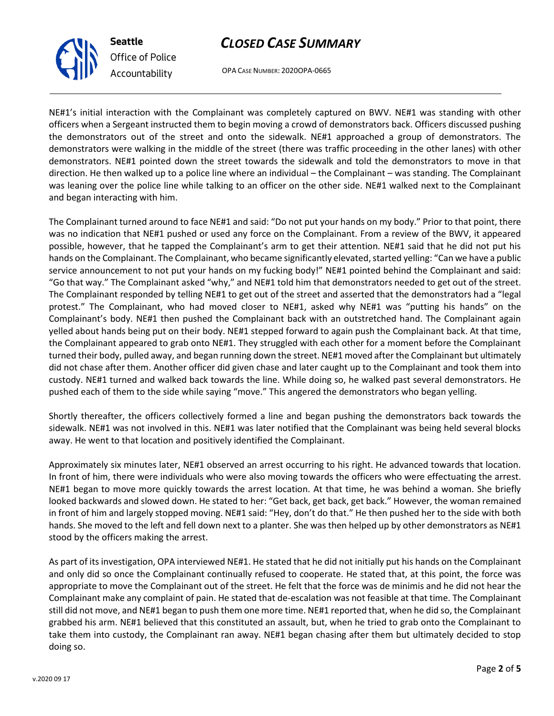OPA CASE NUMBER: 2020OPA-0665

NE#1's initial interaction with the Complainant was completely captured on BWV. NE#1 was standing with other officers when a Sergeant instructed them to begin moving a crowd of demonstrators back. Officers discussed pushing the demonstrators out of the street and onto the sidewalk. NE#1 approached a group of demonstrators. The demonstrators were walking in the middle of the street (there was traffic proceeding in the other lanes) with other demonstrators. NE#1 pointed down the street towards the sidewalk and told the demonstrators to move in that direction. He then walked up to a police line where an individual – the Complainant – was standing. The Complainant was leaning over the police line while talking to an officer on the other side. NE#1 walked next to the Complainant and began interacting with him.

The Complainant turned around to face NE#1 and said: "Do not put your hands on my body." Prior to that point, there was no indication that NE#1 pushed or used any force on the Complainant. From a review of the BWV, it appeared possible, however, that he tapped the Complainant's arm to get their attention. NE#1 said that he did not put his hands on the Complainant. The Complainant, who became significantly elevated, started yelling: "Can we have a public service announcement to not put your hands on my fucking body!" NE#1 pointed behind the Complainant and said: "Go that way." The Complainant asked "why," and NE#1 told him that demonstrators needed to get out of the street. The Complainant responded by telling NE#1 to get out of the street and asserted that the demonstrators had a "legal protest." The Complainant, who had moved closer to NE#1, asked why NE#1 was "putting his hands" on the Complainant's body. NE#1 then pushed the Complainant back with an outstretched hand. The Complainant again yelled about hands being put on their body. NE#1 stepped forward to again push the Complainant back. At that time, the Complainant appeared to grab onto NE#1. They struggled with each other for a moment before the Complainant turned their body, pulled away, and began running down the street. NE#1 moved after the Complainant but ultimately did not chase after them. Another officer did given chase and later caught up to the Complainant and took them into custody. NE#1 turned and walked back towards the line. While doing so, he walked past several demonstrators. He pushed each of them to the side while saying "move." This angered the demonstrators who began yelling.

Shortly thereafter, the officers collectively formed a line and began pushing the demonstrators back towards the sidewalk. NE#1 was not involved in this. NE#1 was later notified that the Complainant was being held several blocks away. He went to that location and positively identified the Complainant.

Approximately six minutes later, NE#1 observed an arrest occurring to his right. He advanced towards that location. In front of him, there were individuals who were also moving towards the officers who were effectuating the arrest. NE#1 began to move more quickly towards the arrest location. At that time, he was behind a woman. She briefly looked backwards and slowed down. He stated to her: "Get back, get back, get back." However, the woman remained in front of him and largely stopped moving. NE#1 said: "Hey, don't do that." He then pushed her to the side with both hands. She moved to the left and fell down next to a planter. She was then helped up by other demonstrators as NE#1 stood by the officers making the arrest.

As part of its investigation, OPA interviewed NE#1. He stated that he did not initially put his hands on the Complainant and only did so once the Complainant continually refused to cooperate. He stated that, at this point, the force was appropriate to move the Complainant out of the street. He felt that the force was de minimis and he did not hear the Complainant make any complaint of pain. He stated that de-escalation was not feasible at that time. The Complainant still did not move, and NE#1 began to push them one more time. NE#1 reported that, when he did so, the Complainant grabbed his arm. NE#1 believed that this constituted an assault, but, when he tried to grab onto the Complainant to take them into custody, the Complainant ran away. NE#1 began chasing after them but ultimately decided to stop doing so.



**Seattle**

*Office of Police Accountability*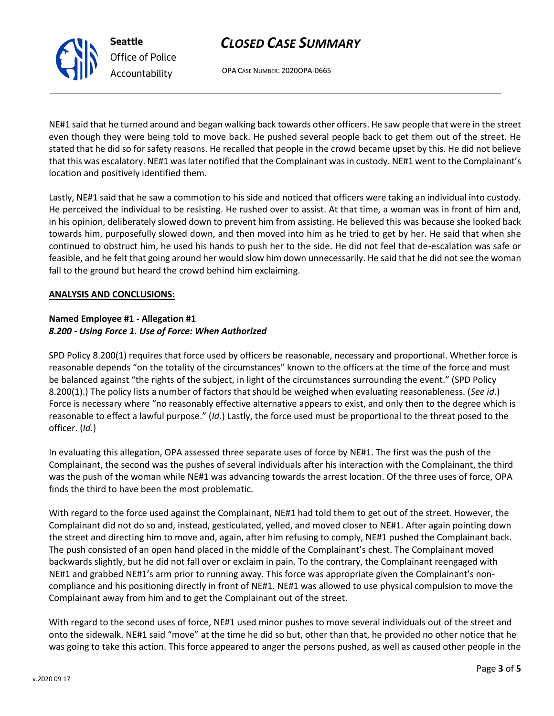

OPA CASE NUMBER: 2020OPA-0665

NE#1 said that he turned around and began walking back towards other officers. He saw people that were in the street even though they were being told to move back. He pushed several people back to get them out of the street. He stated that he did so for safety reasons. He recalled that people in the crowd became upset by this. He did not believe that this was escalatory. NE#1 was later notified that the Complainant was in custody. NE#1 went to the Complainant's location and positively identified them.

Lastly, NE#1 said that he saw a commotion to his side and noticed that officers were taking an individual into custody. He perceived the individual to be resisting. He rushed over to assist. At that time, a woman was in front of him and, in his opinion, deliberately slowed down to prevent him from assisting. He believed this was because she looked back towards him, purposefully slowed down, and then moved into him as he tried to get by her. He said that when she continued to obstruct him, he used his hands to push her to the side. He did not feel that de-escalation was safe or feasible, and he felt that going around her would slow him down unnecessarily. He said that he did not see the woman fall to the ground but heard the crowd behind him exclaiming.

### **ANALYSIS AND CONCLUSIONS:**

## **Named Employee #1 - Allegation #1** *8.200 - Using Force 1. Use of Force: When Authorized*

SPD Policy 8.200(1) requires that force used by officers be reasonable, necessary and proportional. Whether force is reasonable depends "on the totality of the circumstances" known to the officers at the time of the force and must be balanced against "the rights of the subject, in light of the circumstances surrounding the event." (SPD Policy 8.200(1).) The policy lists a number of factors that should be weighed when evaluating reasonableness. (*See id*.) Force is necessary where "no reasonably effective alternative appears to exist, and only then to the degree which is reasonable to effect a lawful purpose." (*Id*.) Lastly, the force used must be proportional to the threat posed to the officer. (*Id*.)

In evaluating this allegation, OPA assessed three separate uses of force by NE#1. The first was the push of the Complainant, the second was the pushes of several individuals after his interaction with the Complainant, the third was the push of the woman while NE#1 was advancing towards the arrest location. Of the three uses of force, OPA finds the third to have been the most problematic.

With regard to the force used against the Complainant, NE#1 had told them to get out of the street. However, the Complainant did not do so and, instead, gesticulated, yelled, and moved closer to NE#1. After again pointing down the street and directing him to move and, again, after him refusing to comply, NE#1 pushed the Complainant back. The push consisted of an open hand placed in the middle of the Complainant's chest. The Complainant moved backwards slightly, but he did not fall over or exclaim in pain. To the contrary, the Complainant reengaged with NE#1 and grabbed NE#1's arm prior to running away. This force was appropriate given the Complainant's noncompliance and his positioning directly in front of NE#1. NE#1 was allowed to use physical compulsion to move the Complainant away from him and to get the Complainant out of the street.

With regard to the second uses of force, NE#1 used minor pushes to move several individuals out of the street and onto the sidewalk. NE#1 said "move" at the time he did so but, other than that, he provided no other notice that he was going to take this action. This force appeared to anger the persons pushed, as well as caused other people in the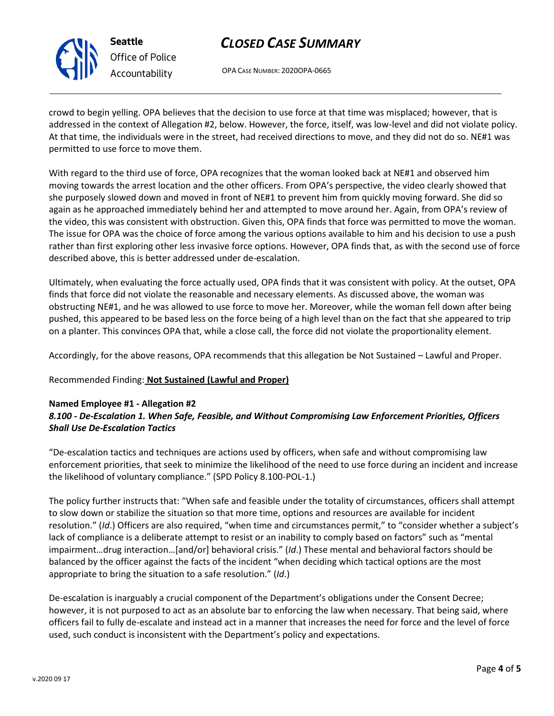

OPA CASE NUMBER: 2020OPA-0665

crowd to begin yelling. OPA believes that the decision to use force at that time was misplaced; however, that is addressed in the context of Allegation #2, below. However, the force, itself, was low-level and did not violate policy. At that time, the individuals were in the street, had received directions to move, and they did not do so. NE#1 was permitted to use force to move them.

With regard to the third use of force, OPA recognizes that the woman looked back at NE#1 and observed him moving towards the arrest location and the other officers. From OPA's perspective, the video clearly showed that she purposely slowed down and moved in front of NE#1 to prevent him from quickly moving forward. She did so again as he approached immediately behind her and attempted to move around her. Again, from OPA's review of the video, this was consistent with obstruction. Given this, OPA finds that force was permitted to move the woman. The issue for OPA was the choice of force among the various options available to him and his decision to use a push rather than first exploring other less invasive force options. However, OPA finds that, as with the second use of force described above, this is better addressed under de-escalation.

Ultimately, when evaluating the force actually used, OPA finds that it was consistent with policy. At the outset, OPA finds that force did not violate the reasonable and necessary elements. As discussed above, the woman was obstructing NE#1, and he was allowed to use force to move her. Moreover, while the woman fell down after being pushed, this appeared to be based less on the force being of a high level than on the fact that she appeared to trip on a planter. This convinces OPA that, while a close call, the force did not violate the proportionality element.

Accordingly, for the above reasons, OPA recommends that this allegation be Not Sustained – Lawful and Proper.

### Recommended Finding: **Not Sustained (Lawful and Proper)**

### **Named Employee #1 - Allegation #2** *8.100 - De-Escalation 1. When Safe, Feasible, and Without Compromising Law Enforcement Priorities, Officers Shall Use De-Escalation Tactics*

"De-escalation tactics and techniques are actions used by officers, when safe and without compromising law enforcement priorities, that seek to minimize the likelihood of the need to use force during an incident and increase the likelihood of voluntary compliance." (SPD Policy 8.100-POL-1.)

The policy further instructs that: "When safe and feasible under the totality of circumstances, officers shall attempt to slow down or stabilize the situation so that more time, options and resources are available for incident resolution." (*Id*.) Officers are also required, "when time and circumstances permit," to "consider whether a subject's lack of compliance is a deliberate attempt to resist or an inability to comply based on factors" such as "mental impairment…drug interaction…[and/or] behavioral crisis." (*Id*.) These mental and behavioral factors should be balanced by the officer against the facts of the incident "when deciding which tactical options are the most appropriate to bring the situation to a safe resolution." (*Id*.)

De-escalation is inarguably a crucial component of the Department's obligations under the Consent Decree; however, it is not purposed to act as an absolute bar to enforcing the law when necessary. That being said, where officers fail to fully de-escalate and instead act in a manner that increases the need for force and the level of force used, such conduct is inconsistent with the Department's policy and expectations.